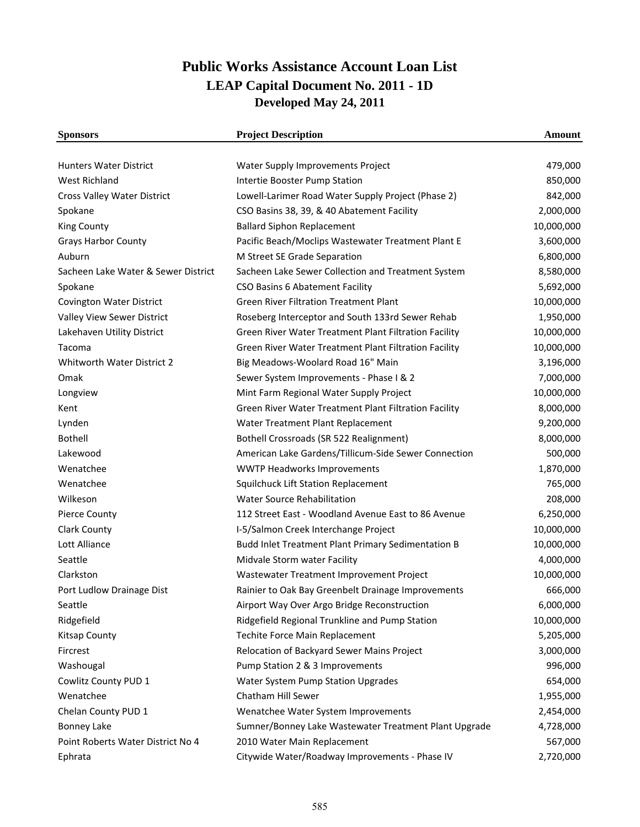## **Public Works Assistance Account Loan List LEAP Capital Document No. 2011 - 1D Developed May 24, 2011**

| <b>Sponsors</b>                     | <b>Project Description</b>                            | Amount     |
|-------------------------------------|-------------------------------------------------------|------------|
|                                     |                                                       |            |
| <b>Hunters Water District</b>       | Water Supply Improvements Project                     | 479,000    |
| <b>West Richland</b>                | Intertie Booster Pump Station                         | 850,000    |
| Cross Valley Water District         | Lowell-Larimer Road Water Supply Project (Phase 2)    | 842,000    |
| Spokane                             | CSO Basins 38, 39, & 40 Abatement Facility            | 2,000,000  |
| <b>King County</b>                  | <b>Ballard Siphon Replacement</b>                     | 10,000,000 |
| <b>Grays Harbor County</b>          | Pacific Beach/Moclips Wastewater Treatment Plant E    | 3,600,000  |
| Auburn                              | M Street SE Grade Separation                          | 6,800,000  |
| Sacheen Lake Water & Sewer District | Sacheen Lake Sewer Collection and Treatment System    | 8,580,000  |
| Spokane                             | CSO Basins 6 Abatement Facility                       | 5,692,000  |
| <b>Covington Water District</b>     | <b>Green River Filtration Treatment Plant</b>         | 10,000,000 |
| Valley View Sewer District          | Roseberg Interceptor and South 133rd Sewer Rehab      | 1,950,000  |
| Lakehaven Utility District          | Green River Water Treatment Plant Filtration Facility | 10,000,000 |
| Tacoma                              | Green River Water Treatment Plant Filtration Facility | 10,000,000 |
| Whitworth Water District 2          | Big Meadows-Woolard Road 16" Main                     | 3,196,000  |
| Omak                                | Sewer System Improvements - Phase I & 2               | 7,000,000  |
| Longview                            | Mint Farm Regional Water Supply Project               | 10,000,000 |
| Kent                                | Green River Water Treatment Plant Filtration Facility | 8,000,000  |
| Lynden                              | Water Treatment Plant Replacement                     | 9,200,000  |
| <b>Bothell</b>                      | Bothell Crossroads (SR 522 Realignment)               | 8,000,000  |
| Lakewood                            | American Lake Gardens/Tillicum-Side Sewer Connection  | 500,000    |
| Wenatchee                           | <b>WWTP Headworks Improvements</b>                    | 1,870,000  |
| Wenatchee                           | Squilchuck Lift Station Replacement                   | 765,000    |
| Wilkeson                            | Water Source Rehabilitation                           | 208,000    |
| <b>Pierce County</b>                | 112 Street East - Woodland Avenue East to 86 Avenue   | 6,250,000  |
| Clark County                        | I-5/Salmon Creek Interchange Project                  | 10,000,000 |
| Lott Alliance                       | Budd Inlet Treatment Plant Primary Sedimentation B    | 10,000,000 |
| Seattle                             | Midvale Storm water Facility                          | 4,000,000  |
| Clarkston                           | Wastewater Treatment Improvement Project              | 10,000,000 |
| Port Ludlow Drainage Dist           | Rainier to Oak Bay Greenbelt Drainage Improvements    | 666,000    |
| Seattle                             | Airport Way Over Argo Bridge Reconstruction           | 6,000,000  |
| Ridgefield                          | Ridgefield Regional Trunkline and Pump Station        | 10,000,000 |
| <b>Kitsap County</b>                | Techite Force Main Replacement                        | 5,205,000  |
| Fircrest                            | Relocation of Backyard Sewer Mains Project            | 3,000,000  |
| Washougal                           | Pump Station 2 & 3 Improvements                       | 996,000    |
| Cowlitz County PUD 1                | Water System Pump Station Upgrades                    | 654,000    |
| Wenatchee                           | Chatham Hill Sewer                                    | 1,955,000  |
| Chelan County PUD 1                 | Wenatchee Water System Improvements                   | 2,454,000  |
| <b>Bonney Lake</b>                  | Sumner/Bonney Lake Wastewater Treatment Plant Upgrade | 4,728,000  |
| Point Roberts Water District No 4   | 2010 Water Main Replacement                           | 567,000    |
| Ephrata                             | Citywide Water/Roadway Improvements - Phase IV        | 2,720,000  |